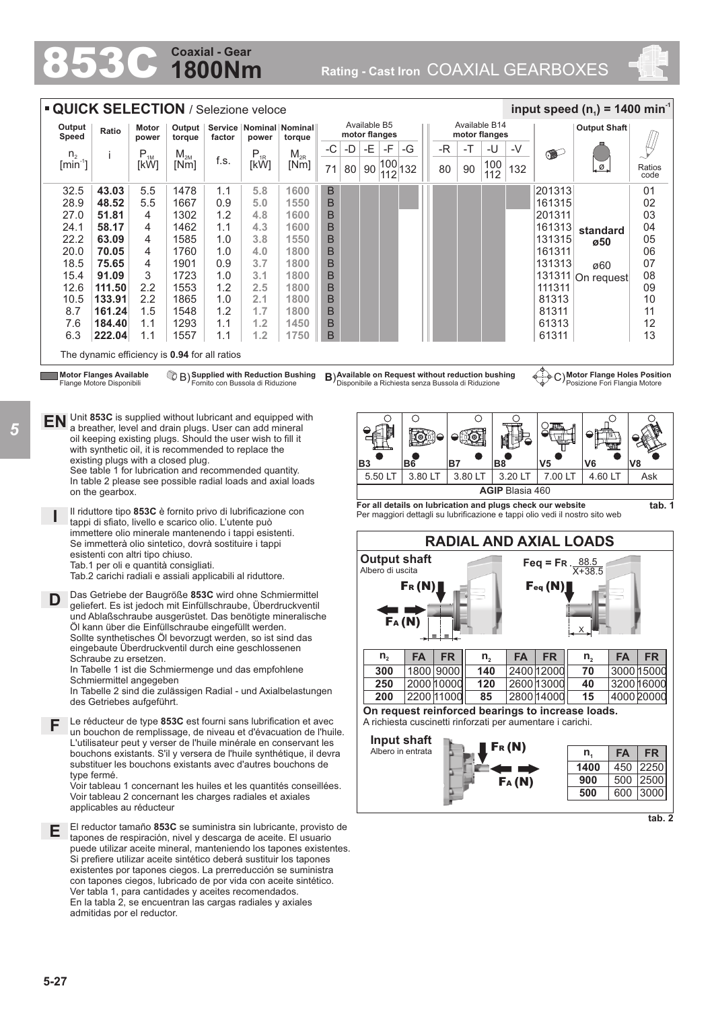## **1800Nm Coaxial - Gear**

Rating - Cast Iron COAXIAL GEARBOXES



| <b>QUICK SELECTION / Selezione veloce</b> |                                                             |                                    |                                                                                                                       |            |                                        |                                                                                                                                          |             |               |                |                              |                     |            |                                                                                                         |            |                        |                                                            | input speed $(n_1)$ = 1400 min <sup>-1</sup>                                 |                |
|-------------------------------------------|-------------------------------------------------------------|------------------------------------|-----------------------------------------------------------------------------------------------------------------------|------------|----------------------------------------|------------------------------------------------------------------------------------------------------------------------------------------|-------------|---------------|----------------|------------------------------|---------------------|------------|---------------------------------------------------------------------------------------------------------|------------|------------------------|------------------------------------------------------------|------------------------------------------------------------------------------|----------------|
| Output<br>Speed                           | Ratio                                                       | Motor<br>power                     | Output                                                                                                                | factor     | Service   Nominal   Nominal  <br>power | torque                                                                                                                                   |             | motor flanges | Available B5   |                              |                     |            | Available B14<br>motor flanges                                                                          |            |                        |                                                            | <b>Output Shaft</b>                                                          |                |
|                                           |                                                             |                                    | torque                                                                                                                |            |                                        |                                                                                                                                          | $-C$        | -D            | -E             | -F                           | -G                  | -R         | -T                                                                                                      | -U         | -V                     |                                                            |                                                                              |                |
| n <sub>2</sub><br>$[min^{-1}]$            |                                                             | $\mathsf{P}_{\textsc{1M}}$<br>[kW] | $\mathsf{M}_{\mathsf{2M}}$<br>[Nm]                                                                                    | f.s.       | $P_{1R}$<br>[kW]                       | $M_{2R}$<br>[Nm]                                                                                                                         | 71          | 80            |                | 90 $\frac{ 100 }{ 112 }$ 132 |                     | 80         | 90                                                                                                      | 100<br>112 | 132                    | $\bullet$                                                  | .ø.                                                                          | Ratios<br>code |
| 32.5                                      | 43.03                                                       | 5.5                                | 1478                                                                                                                  | 1.1        | 5.8                                    | 1600                                                                                                                                     | $\mathsf B$ |               |                |                              |                     |            |                                                                                                         |            |                        | 201313                                                     |                                                                              | 01             |
| 28.9                                      | 48.52                                                       | 5.5                                | 1667                                                                                                                  | 0.9        | 5.0                                    | 1550                                                                                                                                     | B           |               |                |                              |                     |            |                                                                                                         |            |                        | 161315                                                     |                                                                              | 02             |
| 27.0                                      | 51.81                                                       | 4                                  | 1302                                                                                                                  | 1.2        | 4.8                                    | 1600                                                                                                                                     | B           |               |                |                              |                     |            |                                                                                                         |            |                        | 201311                                                     |                                                                              | 03             |
| 24.1                                      | 58.17                                                       | 4                                  | 1462                                                                                                                  | 1.1        | 4.3                                    | 1600                                                                                                                                     | B           |               |                |                              |                     |            |                                                                                                         |            |                        | 161313                                                     | standard                                                                     | 04             |
| 22.2                                      | 63.09                                                       | 4                                  | 1585                                                                                                                  | 1.0        | 3.8                                    | 1550                                                                                                                                     | B           |               |                |                              |                     |            |                                                                                                         |            |                        | 131315                                                     | ø50                                                                          | 05             |
| 20.0                                      | 70.05                                                       | 4                                  | 1760                                                                                                                  | 1.0        | 4.0                                    | 1800                                                                                                                                     | B           |               |                |                              |                     |            |                                                                                                         |            |                        | 161311                                                     |                                                                              | 06             |
| 18.5                                      | 75.65                                                       | 4                                  | 1901                                                                                                                  | 0.9        | 3.7                                    | 1800                                                                                                                                     | B           |               |                |                              |                     |            |                                                                                                         |            |                        | 131313                                                     | ø60                                                                          | 07             |
| 15.4<br>12.6                              | 91.09<br>111.50                                             | 3<br>2.2                           | 1723<br>1553                                                                                                          | 1.0<br>1.2 | 3.1<br>$2.5\,$                         | 1800<br>1800                                                                                                                             | B<br>B      |               |                |                              |                     |            |                                                                                                         |            |                        | 111311                                                     | 131311 On request                                                            | 08<br>09       |
| 10.5                                      | 133.91                                                      | 2.2                                | 1865                                                                                                                  | 1.0        | 2.1                                    | 1800                                                                                                                                     | B           |               |                |                              |                     |            |                                                                                                         |            |                        | 81313                                                      |                                                                              | 10             |
| 8.7                                       | 161.24                                                      | 1.5                                | 1548                                                                                                                  | 1.2        | 1.7                                    | 1800                                                                                                                                     | B           |               |                |                              |                     |            |                                                                                                         |            |                        | 81311                                                      |                                                                              | 11             |
| 7.6                                       | 184.40                                                      | 1.1                                | 1293                                                                                                                  | 1.1        | 1.2                                    | 1450                                                                                                                                     | B           |               |                |                              |                     |            |                                                                                                         |            |                        | 61313                                                      |                                                                              | 12             |
| 6.3                                       | 222.04                                                      | 1.1                                | 1557                                                                                                                  | 1.1        | 1.2                                    | 1750                                                                                                                                     | B           |               |                |                              |                     |            |                                                                                                         |            |                        | 61311                                                      |                                                                              | 13             |
|                                           |                                                             |                                    | The dynamic efficiency is 0.94 for all ratios                                                                         |            |                                        |                                                                                                                                          |             |               |                |                              |                     |            |                                                                                                         |            |                        |                                                            |                                                                              |                |
|                                           | <b>Motor Flanges Available</b><br>Flange Motore Disponibili |                                    |                                                                                                                       |            |                                        | <sup>1</sup> B) Supplied with Reduction Bushing<br>Fornito con Bussola di Riduzione                                                      |             |               |                |                              |                     |            | B) Available on Request without reduction bushing<br>Disponibile a Richiesta senza Bussola di Riduzione |            |                        |                                                            | C) Motor Flange Holes Position<br>Posizione Fori Flangia Motore              |                |
|                                           |                                                             |                                    | Unit 853C is supplied without lubricant and equipped with                                                             |            |                                        |                                                                                                                                          |             |               |                |                              |                     |            |                                                                                                         |            |                        |                                                            |                                                                              |                |
| ΕN                                        |                                                             |                                    | a breather, level and drain plugs. User can add mineral                                                               |            |                                        |                                                                                                                                          |             |               |                |                              | $\circ$             |            | O                                                                                                       |            |                        |                                                            |                                                                              |                |
|                                           |                                                             |                                    | oil keeping existing plugs. Should the user wish to fill it                                                           |            |                                        |                                                                                                                                          |             |               |                |                              |                     |            |                                                                                                         |            |                        |                                                            |                                                                              |                |
|                                           |                                                             |                                    | with synthetic oil, it is recommended to replace the                                                                  |            |                                        |                                                                                                                                          |             |               |                |                              |                     |            |                                                                                                         |            |                        |                                                            |                                                                              |                |
|                                           |                                                             |                                    | existing plugs with a closed plug.<br>See table 1 for lubrication and recommended quantity.                           |            |                                        |                                                                                                                                          |             |               | B <sub>3</sub> |                              | B <sub>6</sub>      | B7         |                                                                                                         | <b>B8</b>  |                        | V <sub>5</sub>                                             | V6                                                                           | V8             |
|                                           |                                                             |                                    | In table 2 please see possible radial loads and axial loads                                                           |            |                                        |                                                                                                                                          |             |               |                | 5.50 LT                      | 3.80 LT             |            | 3.80 LT                                                                                                 |            | 3.20 LT                | 7.00 LT                                                    | 4.60 LT                                                                      | Ask            |
|                                           | on the gearbox.                                             |                                    |                                                                                                                       |            |                                        |                                                                                                                                          |             |               |                |                              |                     |            |                                                                                                         |            | <b>AGIP Blasia 460</b> | For all details on lubrication and plugs check our website |                                                                              | tab. 1         |
|                                           |                                                             |                                    | Il riduttore tipo 853C è fornito privo di lubrificazione con<br>tappi di sfiato, livello e scarico olio. L'utente può |            |                                        |                                                                                                                                          |             |               |                |                              |                     |            |                                                                                                         |            |                        |                                                            | Per maggiori dettagli su lubrificazione e tappi olio vedi il nostro sito web |                |
|                                           |                                                             |                                    | immettere olio minerale mantenendo i tappi esistenti.<br>Se immetterà olio sintetico, dovrà sostituire i tappi        |            |                                        |                                                                                                                                          |             |               |                |                              |                     |            |                                                                                                         |            |                        |                                                            | <b>RADIAL AND AXIAL LOADS</b>                                                |                |
|                                           | esistenti con altri tipo chiuso.                            |                                    | Tab.1 per oli e quantità consigliati.                                                                                 |            |                                        |                                                                                                                                          |             |               |                |                              | <b>Output shaft</b> |            |                                                                                                         |            |                        | Feq = FR $\frac{88.5}{X+38.5}$                             |                                                                              |                |
|                                           |                                                             |                                    | Tab.2 carichi radiali e assiali applicabili al riduttore.                                                             |            |                                        |                                                                                                                                          |             |               |                | Albero di uscita             | $F_R(N)$            |            |                                                                                                         |            |                        | Feq(N)                                                     |                                                                              |                |
| D                                         |                                                             |                                    |                                                                                                                       |            |                                        | Das Getriebe der Baugröße 853C wird ohne Schmiermittel<br>geliefert. Es ist jedoch mit Einfüllschraube, Überdruckventil                  |             |               |                |                              |                     |            |                                                                                                         |            |                        |                                                            |                                                                              |                |
|                                           |                                                             |                                    |                                                                                                                       |            |                                        | und Ablaßschraube ausgerüstet. Das benötigte mineralische                                                                                |             |               |                |                              |                     |            |                                                                                                         |            |                        |                                                            |                                                                              |                |
|                                           |                                                             |                                    | Öl kann über die Einfüllschraube eingefüllt werden.                                                                   |            |                                        |                                                                                                                                          |             |               |                |                              | Fa (N)              | Ξ.         |                                                                                                         |            |                        |                                                            | $x^{\prime}$                                                                 |                |
|                                           |                                                             |                                    | Sollte synthetisches Öl bevorzugt werden, so ist sind das<br>eingebaute Überdruckventil durch eine geschlossenen      |            |                                        |                                                                                                                                          |             |               |                |                              |                     |            |                                                                                                         |            |                        |                                                            |                                                                              |                |
|                                           | Schraube zu ersetzen.                                       |                                    |                                                                                                                       |            |                                        |                                                                                                                                          |             |               |                | $n_{2}$                      | <b>FA</b>           | <b>FR</b>  |                                                                                                         | $n_{2}$    | <b>FA</b>              | <b>FR</b>                                                  | <b>FA</b><br>$n_{2}$                                                         | <b>FR</b>      |
|                                           | Schmiermittel angegeben                                     |                                    | In Tabelle 1 ist die Schmiermenge und das empfohlene                                                                  |            |                                        |                                                                                                                                          |             |               |                | 300                          |                     | 1800 9000  |                                                                                                         | 140        |                        | 2400 12000                                                 | 70                                                                           | 3000 15000     |
|                                           |                                                             |                                    |                                                                                                                       |            |                                        | In Tabelle 2 sind die zulässigen Radial - und Axialbelastungen                                                                           |             |               |                | 250                          |                     | 2000 10000 |                                                                                                         | 120        |                        | 2600 13000                                                 | 40                                                                           | 3200 16000     |
|                                           | des Getriebes aufgeführt.                                   |                                    |                                                                                                                       |            |                                        |                                                                                                                                          |             |               |                | 200                          |                     | 2200 11000 |                                                                                                         | 85         |                        | 2800 14000                                                 | 15                                                                           | 4000 20000     |
|                                           |                                                             |                                    |                                                                                                                       |            |                                        | Le réducteur de type 853C est fourni sans lubrification et avec                                                                          |             |               |                |                              |                     |            |                                                                                                         |            |                        | A richiesta cuscinetti rinforzati per aumentare i carichi. | On request reinforced bearings to increase loads.                            |                |
| F                                         |                                                             |                                    |                                                                                                                       |            |                                        | un bouchon de remplissage, de niveau et d'évacuation de l'huile.                                                                         |             |               |                |                              |                     |            |                                                                                                         |            |                        |                                                            |                                                                              |                |
|                                           |                                                             |                                    |                                                                                                                       |            |                                        | L'utilisateur peut y verser de l'huile minérale en conservant les                                                                        |             |               |                |                              | Input shaft         |            |                                                                                                         |            | Fr(M)                  |                                                            |                                                                              |                |
|                                           |                                                             |                                    |                                                                                                                       |            |                                        | bouchons existants. S'il y versera de l'huile synthétique, il devra<br>substituer les bouchons existants avec d'autres bouchons de       |             |               |                |                              | Albero in entrata   |            |                                                                                                         |            |                        |                                                            | <b>FA</b><br>$n_{1}$                                                         | <b>FR</b>      |
|                                           | type fermé.                                                 |                                    |                                                                                                                       |            |                                        |                                                                                                                                          |             |               |                |                              |                     |            |                                                                                                         |            |                        |                                                            | 1400                                                                         | 450 2250       |
|                                           |                                                             |                                    |                                                                                                                       |            |                                        | Voir tableau 1 concernant les huiles et les quantités conseillées.                                                                       |             |               |                |                              |                     |            |                                                                                                         |            | FA(M)                  |                                                            | 900                                                                          | 500 2500       |
|                                           | applicables au réducteur                                    |                                    | Voir tableau 2 concernant les charges radiales et axiales                                                             |            |                                        |                                                                                                                                          |             |               |                |                              |                     |            |                                                                                                         |            |                        |                                                            | 500                                                                          | 600 3000       |
|                                           |                                                             |                                    |                                                                                                                       |            |                                        | El reductor tamaño 853C se suministra sin lubricante, provisto de                                                                        |             |               |                |                              |                     |            |                                                                                                         |            |                        |                                                            |                                                                              | tab. 2         |
| Ε                                         |                                                             |                                    |                                                                                                                       |            |                                        | tapones de respiración, nivel y descarga de aceite. El usuario                                                                           |             |               |                |                              |                     |            |                                                                                                         |            |                        |                                                            |                                                                              |                |
|                                           |                                                             |                                    |                                                                                                                       |            |                                        | puede utilizar aceite mineral, manteniendo los tapones existentes.<br>Si prefiere utilizar aceite sintético deberá sustituir los tapones |             |               |                |                              |                     |            |                                                                                                         |            |                        |                                                            |                                                                              |                |
|                                           |                                                             |                                    |                                                                                                                       |            |                                        | existentes por tapones ciegos. La prerreducción se suministra                                                                            |             |               |                |                              |                     |            |                                                                                                         |            |                        |                                                            |                                                                              |                |
|                                           |                                                             |                                    |                                                                                                                       |            |                                        | con tapones ciegos, lubricado de por vida con aceite sintético.                                                                          |             |               |                |                              |                     |            |                                                                                                         |            |                        |                                                            |                                                                              |                |
|                                           |                                                             |                                    | Ver tabla 1, para cantidades y aceites recomendados.                                                                  |            |                                        |                                                                                                                                          |             |               |                |                              |                     |            |                                                                                                         |            |                        |                                                            |                                                                              |                |
|                                           | admitidas por el reductor.                                  |                                    | En la tabla 2, se encuentran las cargas radiales y axiales                                                            |            |                                        |                                                                                                                                          |             |               |                |                              |                     |            |                                                                                                         |            |                        |                                                            |                                                                              |                |
|                                           |                                                             |                                    |                                                                                                                       |            |                                        |                                                                                                                                          |             |               |                |                              |                     |            |                                                                                                         |            |                        |                                                            |                                                                              |                |